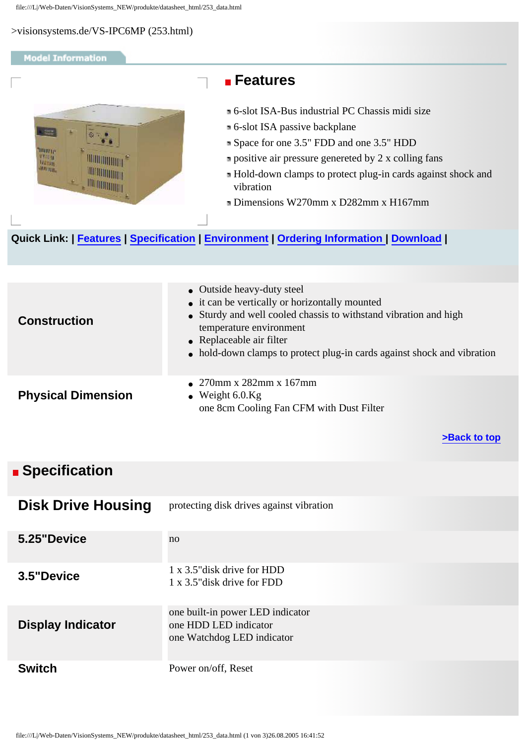<span id="page-0-2"></span>>visionsystems.de/VS-IPC6MP (253.html)

## <span id="page-0-3"></span><span id="page-0-0"></span>**Model Information Features** 6-slot ISA-Bus industrial PC Chassis midi size 6-slot ISA passive backplane Space for one 3.5" FDD and one 3.5" HDD mmur **ATTENT positive air pressure genereted by 2 x colling fans THE ALTON DISTURBANCE** Hold-down clamps to protect plug-in cards against shock and **HATHROOM** vibration Dimensions W270mm x D282mm x H167mm **Quick Link: | [Features](#page-0-0) | [Specification](#page-0-1) | [Environment](#page-1-0) | [Ordering Information](#page-2-0) | [Download](#page-0-2) |** • Outside heavy-duty steel • it can be vertically or horizontally mounted • Sturdy and well cooled chassis to withstand vibration and high **Construction** temperature environment • Replaceable air filter • hold-down clamps to protect plug-in cards against shock and vibration ● 270mm x 282mm x 167mm **Physical Dimension**   $\bullet$  Weight 6.0.Kg one 8cm Cooling Fan CFM with Dust Filter **[>Back to top](#page-0-3)**  *<b>B* Specification **Disk Drive Housing** protecting disk drives against vibration **5.25"Device** no

<span id="page-0-1"></span>

| <b>Disk Drive Housing</b> | protecting disk drives against vibration                                                |
|---------------------------|-----------------------------------------------------------------------------------------|
| 5.25"Device               | no                                                                                      |
| 3.5"Device                | 1 x 3.5" disk drive for HDD<br>1 x 3.5" disk drive for FDD                              |
| <b>Display Indicator</b>  | one built-in power LED indicator<br>one HDD LED indicator<br>one Watchdog LED indicator |
| <b>Switch</b>             | Power on/off, Reset                                                                     |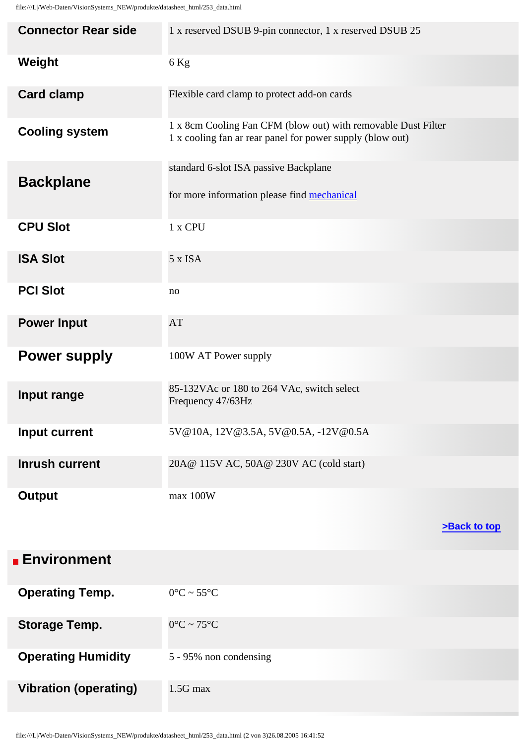| <b>Connector Rear side</b> | 1 x reserved DSUB 9-pin connector, 1 x reserved DSUB 25                                                                    |
|----------------------------|----------------------------------------------------------------------------------------------------------------------------|
| Weight                     | $6$ Kg                                                                                                                     |
| <b>Card clamp</b>          | Flexible card clamp to protect add-on cards                                                                                |
| <b>Cooling system</b>      | 1 x 8cm Cooling Fan CFM (blow out) with removable Dust Filter<br>1 x cooling fan ar rear panel for power supply (blow out) |
| <b>Backplane</b>           | standard 6-slot ISA passive Backplane                                                                                      |
|                            | for more information please find mechanical                                                                                |
| <b>CPU Slot</b>            | 1 x CPU                                                                                                                    |
| <b>ISA Slot</b>            | 5 x ISA                                                                                                                    |
| <b>PCI Slot</b>            | no                                                                                                                         |
| <b>Power Input</b>         | AT                                                                                                                         |
| <b>Power supply</b>        | 100W AT Power supply                                                                                                       |
| Input range                | 85-132VAc or 180 to 264 VAc, switch select<br>Frequency 47/63Hz                                                            |
| Input current              | 5V@10A, 12V@3.5A, 5V@0.5A, -12V@0.5A                                                                                       |
| <b>Inrush current</b>      | 20A@ 115V AC, 50A@ 230V AC (cold start)                                                                                    |
| <b>Output</b>              | max 100W                                                                                                                   |

| >Back to top |
|--------------|
|--------------|

<span id="page-1-0"></span>

| <b>Environment</b>           |                                 |
|------------------------------|---------------------------------|
| <b>Operating Temp.</b>       | $0^{\circ}$ C ~ 55 $^{\circ}$ C |
| <b>Storage Temp.</b>         | $0^{\circ}$ C ~ 75 $^{\circ}$ C |
| <b>Operating Humidity</b>    | 5 - 95% non condensing          |
| <b>Vibration (operating)</b> | $1.5G$ max                      |